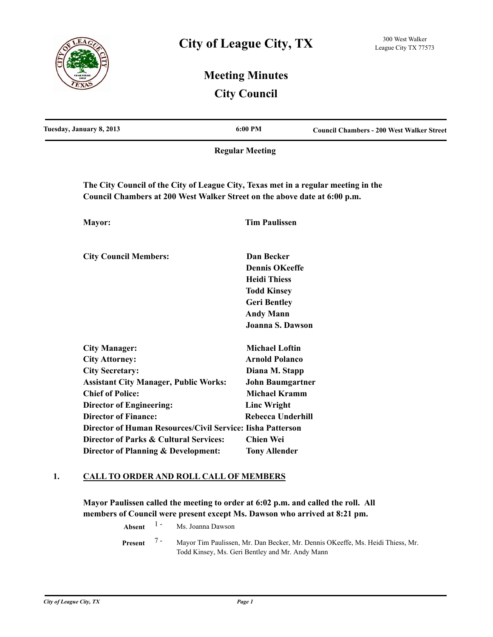

# **Meeting Minutes City Council**

| Tuesday, January 8, 2013                                                                                                                                        | 6:00 PM                  | <b>Council Chambers - 200 West Walker Street</b> |
|-----------------------------------------------------------------------------------------------------------------------------------------------------------------|--------------------------|--------------------------------------------------|
|                                                                                                                                                                 | <b>Regular Meeting</b>   |                                                  |
| The City Council of the City of League City, Texas met in a regular meeting in the<br>Council Chambers at 200 West Walker Street on the above date at 6:00 p.m. |                          |                                                  |
| Mayor:                                                                                                                                                          | <b>Tim Paulissen</b>     |                                                  |
| <b>City Council Members:</b>                                                                                                                                    | Dan Becker               |                                                  |
|                                                                                                                                                                 | <b>Dennis OKeeffe</b>    |                                                  |
|                                                                                                                                                                 | <b>Heidi Thiess</b>      |                                                  |
|                                                                                                                                                                 | <b>Todd Kinsey</b>       |                                                  |
|                                                                                                                                                                 | <b>Geri Bentley</b>      |                                                  |
|                                                                                                                                                                 | <b>Andy Mann</b>         |                                                  |
|                                                                                                                                                                 | Joanna S. Dawson         |                                                  |
| <b>City Manager:</b>                                                                                                                                            | <b>Michael Loftin</b>    |                                                  |
| <b>City Attorney:</b>                                                                                                                                           | <b>Arnold Polanco</b>    |                                                  |
| <b>City Secretary:</b>                                                                                                                                          | Diana M. Stapp           |                                                  |
| <b>Assistant City Manager, Public Works:</b>                                                                                                                    | <b>John Baumgartner</b>  |                                                  |
| <b>Chief of Police:</b>                                                                                                                                         | <b>Michael Kramm</b>     |                                                  |
| <b>Director of Engineering:</b>                                                                                                                                 | <b>Linc Wright</b>       |                                                  |
| <b>Director of Finance:</b>                                                                                                                                     | <b>Rebecca Underhill</b> |                                                  |
| Director of Human Resources/Civil Service: Iisha Patterson                                                                                                      |                          |                                                  |
| <b>Director of Parks &amp; Cultural Services:</b>                                                                                                               | <b>Chien Wei</b>         |                                                  |
| Director of Planning & Development:                                                                                                                             | <b>Tony Allender</b>     |                                                  |

### **1. CALL TO ORDER AND ROLL CALL OF MEMBERS**

**Mayor Paulissen called the meeting to order at 6:02 p.m. and called the roll. All members of Council were present except Ms. Dawson who arrived at 8:21 pm.**

**Absent** <sup>1</sup> - Ms. Joanna Dawson

Mayor Tim Paulissen, Mr. Dan Becker, Mr. Dennis OKeeffe, Ms. Heidi Thiess, Mr. Todd Kinsey, Ms. Geri Bentley and Mr. Andy Mann **Present** 7 -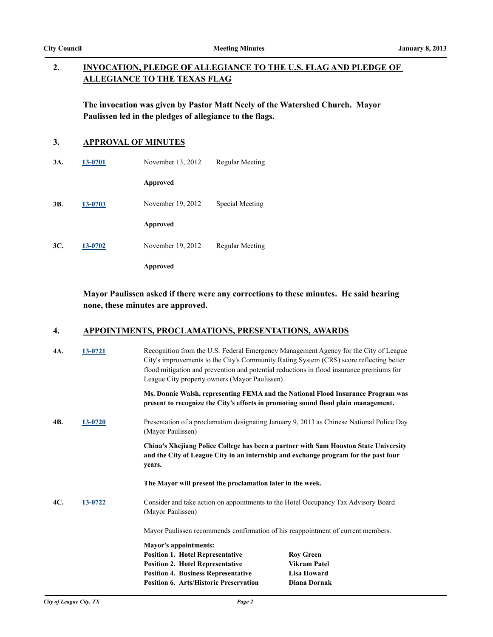### **INVOCATION, PLEDGE OF ALLEGIANCE TO THE U.S. FLAG AND PLEDGE OF ALLEGIANCE TO THE TEXAS FLAG 2.**

**The invocation was given by Pastor Matt Neely of the Watershed Church. Mayor Paulissen led in the pledges of allegiance to the flags.**

# **3. APPROVAL OF MINUTES**

| 3A. | 13-0701 | November 13, 2012 | Regular Meeting |
|-----|---------|-------------------|-----------------|
|     |         | Approved          |                 |
| 3B. | 13-0703 | November 19, 2012 | Special Meeting |
|     |         | Approved          |                 |
| 3C. | 13-0702 | November 19, 2012 | Regular Meeting |
|     |         | Approved          |                 |

### **Mayor Paulissen asked if there were any corrections to these minutes. He said hearing none, these minutes are approved.**

### **4. APPOINTMENTS, PROCLAMATIONS, PRESENTATIONS, AWARDS**

| 4A. | 13-0721 |                   | League City property owners (Mayor Paulissen)                                               | Recognition from the U.S. Federal Emergency Management Agency for the City of League<br>City's improvements to the City's Community Rating System (CRS) score reflecting better<br>flood mitigation and prevention and potential reductions in flood insurance premiums for |
|-----|---------|-------------------|---------------------------------------------------------------------------------------------|-----------------------------------------------------------------------------------------------------------------------------------------------------------------------------------------------------------------------------------------------------------------------------|
|     |         |                   |                                                                                             | Ms. Donnie Walsh, representing FEMA and the National Flood Insurance Program was<br>present to recognize the City's efforts in promoting sound flood plain management.                                                                                                      |
| 4B. | 13-0720 | (Mayor Paulissen) |                                                                                             | Presentation of a proclamation designating January 9, 2013 as Chinese National Police Day                                                                                                                                                                                   |
|     |         | years.            |                                                                                             | China's Xhejiang Police College has been a partner with Sam Houston State University<br>and the City of League City in an internship and exchange program for the past four                                                                                                 |
|     |         |                   | The Mayor will present the proclamation later in the week.                                  |                                                                                                                                                                                                                                                                             |
| 4C. | 13-0722 | (Mayor Paulissen) |                                                                                             | Consider and take action on appointments to the Hotel Occupancy Tax Advisory Board                                                                                                                                                                                          |
|     |         |                   | Mayor Paulissen recommends confirmation of his reappointment of current members.            |                                                                                                                                                                                                                                                                             |
|     |         |                   | <b>Mayor's appointments:</b>                                                                |                                                                                                                                                                                                                                                                             |
|     |         |                   | <b>Position 1. Hotel Representative</b>                                                     | <b>Rov Green</b>                                                                                                                                                                                                                                                            |
|     |         |                   | <b>Position 2. Hotel Representative</b>                                                     | <b>Vikram Patel</b>                                                                                                                                                                                                                                                         |
|     |         |                   | <b>Position 4. Business Representative</b><br><b>Position 6. Arts/Historic Preservation</b> | <b>Lisa Howard</b><br><b>Diana Dornak</b>                                                                                                                                                                                                                                   |
|     |         |                   |                                                                                             |                                                                                                                                                                                                                                                                             |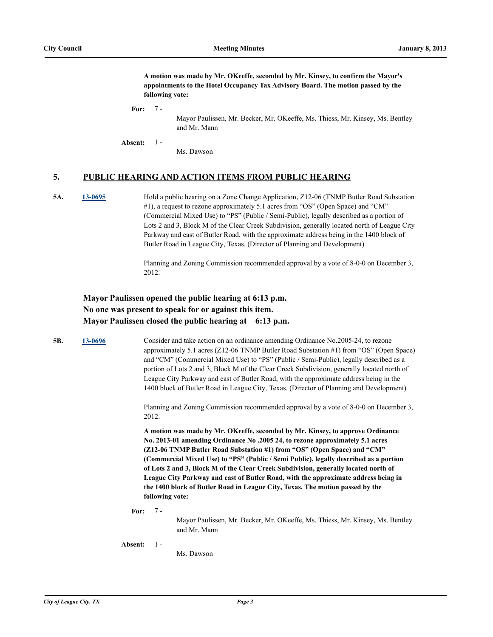**A motion was made by Mr. OKeeffe, seconded by Mr. Kinsey, to confirm the Mayor's appointments to the Hotel Occupancy Tax Advisory Board. The motion passed by the following vote:**

### **For:** 7 -

Mayor Paulissen, Mr. Becker, Mr. OKeeffe, Ms. Thiess, Mr. Kinsey, Ms. Bentley and Mr. Mann

**Absent:** 1 -

Ms. Dawson

### **5. PUBLIC HEARING AND ACTION ITEMS FROM PUBLIC HEARING**

**5A. [13-0695](http://leaguecity.legistar.com/gateway.aspx?m=l&id=3543)** Hold a public hearing on a Zone Change Application, Z12-06 (TNMP Butler Road Substation #1), a request to rezone approximately 5.1 acres from "OS" (Open Space) and "CM" (Commercial Mixed Use) to "PS" (Public / Semi-Public), legally described as a portion of Lots 2 and 3, Block M of the Clear Creek Subdivision, generally located north of League City Parkway and east of Butler Road, with the approximate address being in the 1400 block of Butler Road in League City, Texas. (Director of Planning and Development)

> Planning and Zoning Commission recommended approval by a vote of 8-0-0 on December 3, 2012.

## **Mayor Paulissen opened the public hearing at 6:13 p.m. No one was present to speak for or against this item. Mayor Paulissen closed the public hearing at 6:13 p.m.**

**5B. [13-0696](http://leaguecity.legistar.com/gateway.aspx?m=l&id=3544)** Consider and take action on an ordinance amending Ordinance No.2005-24, to rezone approximately 5.1 acres (Z12-06 TNMP Butler Road Substation #1) from "OS" (Open Space) and "CM" (Commercial Mixed Use) to "PS" (Public / Semi-Public), legally described as a portion of Lots 2 and 3, Block M of the Clear Creek Subdivision, generally located north of League City Parkway and east of Butler Road, with the approximate address being in the 1400 block of Butler Road in League City, Texas. (Director of Planning and Development)

> Planning and Zoning Commission recommended approval by a vote of 8-0-0 on December 3, 2012.

**A motion was made by Mr. OKeeffe, seconded by Mr. Kinsey, to approve Ordinance No. 2013-01 amending Ordinance No .2005 24, to rezone approximately 5.1 acres (Z12-06 TNMP Butler Road Substation #1) from "OS" (Open Space) and "CM" (Commercial Mixed Use) to "PS" (Public / Semi Public), legally described as a portion of Lots 2 and 3, Block M of the Clear Creek Subdivision, generally located north of League City Parkway and east of Butler Road, with the approximate address being in the 1400 block of Butler Road in League City, Texas. The motion passed by the following vote:**

**For:** 7 -

> Mayor Paulissen, Mr. Becker, Mr. OKeeffe, Ms. Thiess, Mr. Kinsey, Ms. Bentley and Mr. Mann

**Absent:** 1 -

Ms. Dawson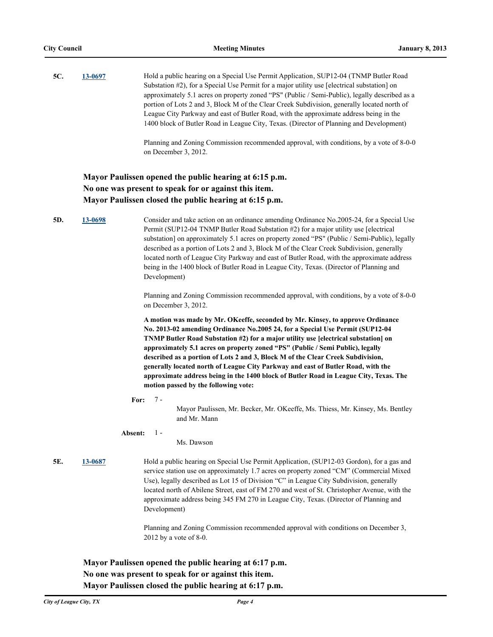| 5C. | 13-0697 | Hold a public hearing on a Special Use Permit Application, SUP12-04 (TNMP Butler Road         |
|-----|---------|-----------------------------------------------------------------------------------------------|
|     |         | Substation #2), for a Special Use Permit for a major utility use [electrical substation] on   |
|     |         | approximately 5.1 acres on property zoned "PS" (Public / Semi-Public), legally described as a |
|     |         | portion of Lots 2 and 3, Block M of the Clear Creek Subdivision, generally located north of   |
|     |         | League City Parkway and east of Butler Road, with the approximate address being in the        |
|     |         | 1400 block of Butler Road in League City, Texas. (Director of Planning and Development)       |
|     |         |                                                                                               |

Planning and Zoning Commission recommended approval, with conditions, by a vote of 8-0-0 on December 3, 2012.

### **Mayor Paulissen opened the public hearing at 6:15 p.m. No one was present to speak for or against this item. Mayor Paulissen closed the public hearing at 6:15 p.m.**

**5D. [13-0698](http://leaguecity.legistar.com/gateway.aspx?m=l&id=3546)** Consider and take action on an ordinance amending Ordinance No.2005-24, for a Special Use Permit (SUP12-04 TNMP Butler Road Substation #2) for a major utility use [electrical substation] on approximately 5.1 acres on property zoned "PS" (Public / Semi-Public), legally described as a portion of Lots 2 and 3, Block M of the Clear Creek Subdivision, generally located north of League City Parkway and east of Butler Road, with the approximate address being in the 1400 block of Butler Road in League City, Texas. (Director of Planning and Development)

> Planning and Zoning Commission recommended approval, with conditions, by a vote of 8-0-0 on December 3, 2012.

**A motion was made by Mr. OKeeffe, seconded by Mr. Kinsey, to approve Ordinance No. 2013-02 amending Ordinance No.2005 24, for a Special Use Permit (SUP12-04 TNMP Butler Road Substation #2) for a major utility use [electrical substation] on approximately 5.1 acres on property zoned "PS" (Public / Semi Public), legally described as a portion of Lots 2 and 3, Block M of the Clear Creek Subdivision, generally located north of League City Parkway and east of Butler Road, with the approximate address being in the 1400 block of Butler Road in League City, Texas. The motion passed by the following vote:**

**For:** 7 -

> Mayor Paulissen, Mr. Becker, Mr. OKeeffe, Ms. Thiess, Mr. Kinsey, Ms. Bentley and Mr. Mann

**Absent:** 1 -

Ms. Dawson

**5E. [13-0687](http://leaguecity.legistar.com/gateway.aspx?m=l&id=3535)** Hold a public hearing on Special Use Permit Application, (SUP12-03 Gordon), for a gas and service station use on approximately 1.7 acres on property zoned "CM" (Commercial Mixed Use), legally described as Lot 15 of Division "C" in League City Subdivision, generally located north of Abilene Street, east of FM 270 and west of St. Christopher Avenue, with the approximate address being 345 FM 270 in League City, Texas. (Director of Planning and Development)

> Planning and Zoning Commission recommended approval with conditions on December 3, 2012 by a vote of 8-0.

**Mayor Paulissen opened the public hearing at 6:17 p.m. No one was present to speak for or against this item. Mayor Paulissen closed the public hearing at 6:17 p.m.**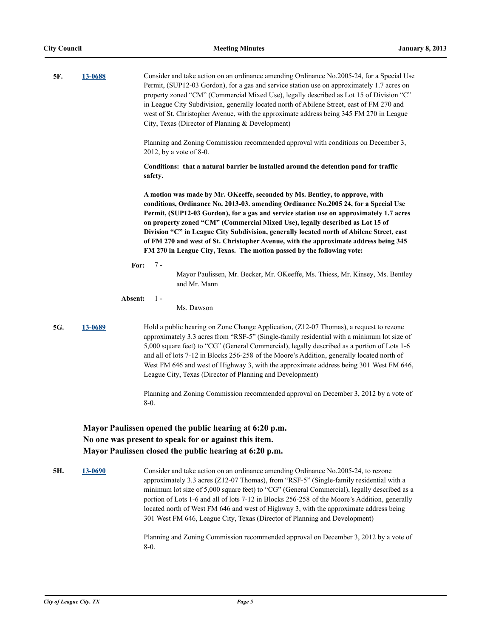| 5F. | 13-0688 | Consider and take action on an ordinance amending Ordinance No.2005-24, for a Special Use<br>Permit, (SUP12-03 Gordon), for a gas and service station use on approximately 1.7 acres on<br>property zoned "CM" (Commercial Mixed Use), legally described as Lot 15 of Division "C"<br>in League City Subdivision, generally located north of Abilene Street, east of FM 270 and<br>west of St. Christopher Avenue, with the approximate address being 345 FM 270 in League<br>City, Texas (Director of Planning & Development)                                                                               |
|-----|---------|--------------------------------------------------------------------------------------------------------------------------------------------------------------------------------------------------------------------------------------------------------------------------------------------------------------------------------------------------------------------------------------------------------------------------------------------------------------------------------------------------------------------------------------------------------------------------------------------------------------|
|     |         | Planning and Zoning Commission recommended approval with conditions on December 3,<br>2012, by a vote of 8-0.                                                                                                                                                                                                                                                                                                                                                                                                                                                                                                |
|     |         | Conditions: that a natural barrier be installed around the detention pond for traffic<br>safety.                                                                                                                                                                                                                                                                                                                                                                                                                                                                                                             |
|     |         | A motion was made by Mr. OKeeffe, seconded by Ms. Bentley, to approve, with<br>conditions, Ordinance No. 2013-03. amending Ordinance No.2005 24, for a Special Use<br>Permit, (SUP12-03 Gordon), for a gas and service station use on approximately 1.7 acres<br>on property zoned "CM" (Commercial Mixed Use), legally described as Lot 15 of<br>Division "C" in League City Subdivision, generally located north of Abilene Street, east<br>of FM 270 and west of St. Christopher Avenue, with the approximate address being 345<br>FM 270 in League City, Texas. The motion passed by the following vote: |
|     | For:    | 7 -<br>Mayor Paulissen, Mr. Becker, Mr. OKeeffe, Ms. Thiess, Mr. Kinsey, Ms. Bentley<br>and Mr. Mann                                                                                                                                                                                                                                                                                                                                                                                                                                                                                                         |
|     | Absent: | $1 -$<br>Ms. Dawson                                                                                                                                                                                                                                                                                                                                                                                                                                                                                                                                                                                          |
| 5G. | 13-0689 | Hold a public hearing on Zone Change Application, (Z12-07 Thomas), a request to rezone<br>approximately 3.3 acres from "RSF-5" (Single-family residential with a minimum lot size of<br>5,000 square feet) to "CG" (General Commercial), legally described as a portion of Lots 1-6<br>and all of lots 7-12 in Blocks 256-258 of the Moore's Addition, generally located north of<br>West FM 646 and west of Highway 3, with the approximate address being 301 West FM 646,<br>League City, Texas (Director of Planning and Development)                                                                     |
|     |         | Planning and Zoning Commission recommended approval on December 3, 2012 by a vote of<br>$8-0.$                                                                                                                                                                                                                                                                                                                                                                                                                                                                                                               |
|     |         | Mayor Paulissen opened the public hearing at 6:20 p.m.<br>No one was present to speak for or against this item.<br>Mayor Paulissen closed the public hearing at 6:20 p.m.                                                                                                                                                                                                                                                                                                                                                                                                                                    |
| 5H. | 13-0690 | Consider and take action on an ordinance amending Ordinance No.2005-24, to rezone<br>approximately 3.3 acres (Z12-07 Thomas), from "RSF-5" (Single-family residential with a<br>minimum lot size of 5,000 square feet) to "CG" (General Commercial), legally described as a<br>portion of Lots 1-6 and all of lots 7-12 in Blocks 256-258 of the Moore's Addition, generally<br>located north of West FM 646 and west of Highway 3, with the approximate address being<br>301 West FM 646, League City, Texas (Director of Planning and Development)                                                         |
|     |         | Planning and Zoning Commission recommended approval on December 3, 2012 by a vote of<br>$8-0.$                                                                                                                                                                                                                                                                                                                                                                                                                                                                                                               |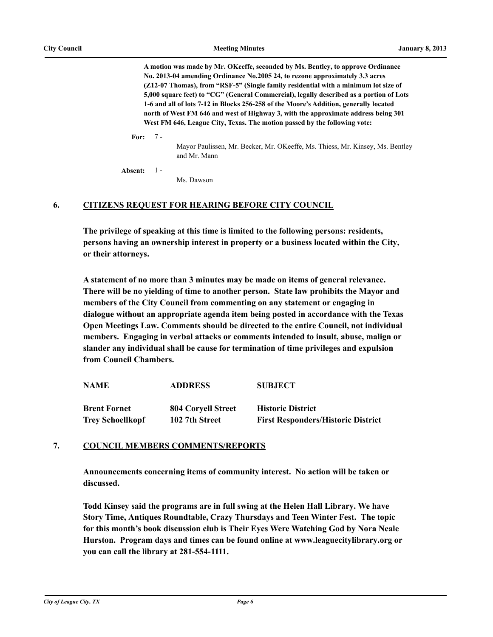**A motion was made by Mr. OKeeffe, seconded by Ms. Bentley, to approve Ordinance No. 2013-04 amending Ordinance No.2005 24, to rezone approximately 3.3 acres (Z12-07 Thomas), from "RSF-5" (Single family residential with a minimum lot size of 5,000 square feet) to "CG" (General Commercial), legally described as a portion of Lots 1-6 and all of lots 7-12 in Blocks 256-258 of the Moore's Addition, generally located north of West FM 646 and west of Highway 3, with the approximate address being 301 West FM 646, League City, Texas. The motion passed by the following vote:**

**For:**  $7 -$ 

> Mayor Paulissen, Mr. Becker, Mr. OKeeffe, Ms. Thiess, Mr. Kinsey, Ms. Bentley and Mr. Mann

**Absent:**  $1 -$ 

Ms. Dawson

### **6. CITIZENS REQUEST FOR HEARING BEFORE CITY COUNCIL**

**The privilege of speaking at this time is limited to the following persons: residents, persons having an ownership interest in property or a business located within the City, or their attorneys.**

**A statement of no more than 3 minutes may be made on items of general relevance. There will be no yielding of time to another person. State law prohibits the Mayor and members of the City Council from commenting on any statement or engaging in dialogue without an appropriate agenda item being posted in accordance with the Texas Open Meetings Law. Comments should be directed to the entire Council, not individual members. Engaging in verbal attacks or comments intended to insult, abuse, malign or slander any individual shall be cause for termination of time privileges and expulsion from Council Chambers.**

| <b>NAME</b>             | <b>ADDRESS</b>     | <b>SUBJECT</b>                            |  |
|-------------------------|--------------------|-------------------------------------------|--|
| <b>Brent Fornet</b>     | 804 Corvell Street | <b>Historic District</b>                  |  |
| <b>Trey Schoellkopf</b> | 102 7th Street     | <b>First Responders/Historic District</b> |  |

### **7. COUNCIL MEMBERS COMMENTS/REPORTS**

**Announcements concerning items of community interest. No action will be taken or discussed.**

**Todd Kinsey said the programs are in full swing at the Helen Hall Library. We have Story Time, Antiques Roundtable, Crazy Thursdays and Teen Winter Fest. The topic for this month's book discussion club is Their Eyes Were Watching God by Nora Neale Hurston. Program days and times can be found online at www.leaguecitylibrary.org or you can call the library at 281-554-1111.**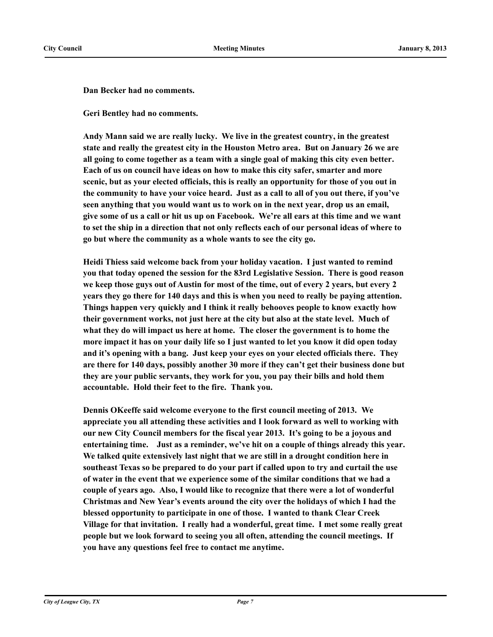**Dan Becker had no comments.**

**Geri Bentley had no comments.**

**Andy Mann said we are really lucky. We live in the greatest country, in the greatest state and really the greatest city in the Houston Metro area. But on January 26 we are all going to come together as a team with a single goal of making this city even better. Each of us on council have ideas on how to make this city safer, smarter and more scenic, but as your elected officials, this is really an opportunity for those of you out in the community to have your voice heard. Just as a call to all of you out there, if you've seen anything that you would want us to work on in the next year, drop us an email, give some of us a call or hit us up on Facebook. We're all ears at this time and we want to set the ship in a direction that not only reflects each of our personal ideas of where to go but where the community as a whole wants to see the city go.** 

**Heidi Thiess said welcome back from your holiday vacation. I just wanted to remind you that today opened the session for the 83rd Legislative Session. There is good reason we keep those guys out of Austin for most of the time, out of every 2 years, but every 2 years they go there for 140 days and this is when you need to really be paying attention. Things happen very quickly and I think it really behooves people to know exactly how their government works, not just here at the city but also at the state level. Much of what they do will impact us here at home. The closer the government is to home the more impact it has on your daily life so I just wanted to let you know it did open today and it's opening with a bang. Just keep your eyes on your elected officials there. They are there for 140 days, possibly another 30 more if they can't get their business done but they are your public servants, they work for you, you pay their bills and hold them accountable. Hold their feet to the fire. Thank you.**

**Dennis OKeeffe said welcome everyone to the first council meeting of 2013. We appreciate you all attending these activities and I look forward as well to working with our new City Council members for the fiscal year 2013. It's going to be a joyous and entertaining time. Just as a reminder, we've hit on a couple of things already this year. We talked quite extensively last night that we are still in a drought condition here in southeast Texas so be prepared to do your part if called upon to try and curtail the use of water in the event that we experience some of the similar conditions that we had a couple of years ago. Also, I would like to recognize that there were a lot of wonderful Christmas and New Year's events around the city over the holidays of which I had the blessed opportunity to participate in one of those. I wanted to thank Clear Creek Village for that invitation. I really had a wonderful, great time. I met some really great people but we look forward to seeing you all often, attending the council meetings. If you have any questions feel free to contact me anytime.**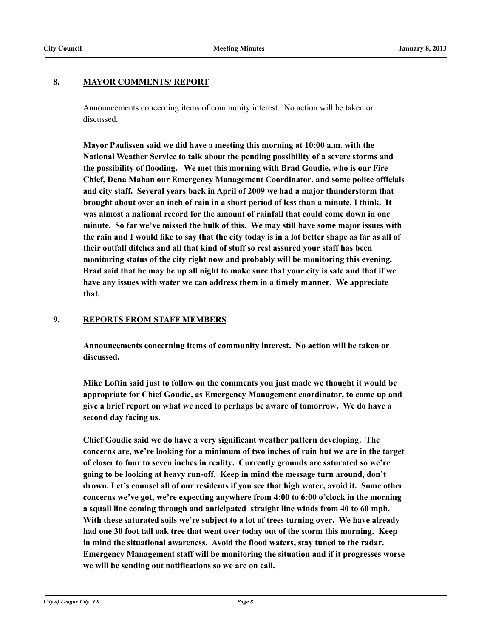### **8. MAYOR COMMENTS/ REPORT**

Announcements concerning items of community interest. No action will be taken or discussed.

**Mayor Paulissen said we did have a meeting this morning at 10:00 a.m. with the National Weather Service to talk about the pending possibility of a severe storms and the possibility of flooding. We met this morning with Brad Goudie, who is our Fire Chief, Dena Mahan our Emergency Management Coordinator, and some police officials and city staff. Several years back in April of 2009 we had a major thunderstorm that brought about over an inch of rain in a short period of less than a minute, I think. It was almost a national record for the amount of rainfall that could come down in one minute. So far we've missed the bulk of this. We may still have some major issues with the rain and I would like to say that the city today is in a lot better shape as far as all of their outfall ditches and all that kind of stuff so rest assured your staff has been monitoring status of the city right now and probably will be monitoring this evening. Brad said that he may be up all night to make sure that your city is safe and that if we have any issues with water we can address them in a timely manner. We appreciate that.**

### **9. REPORTS FROM STAFF MEMBERS**

**Announcements concerning items of community interest. No action will be taken or discussed.**

**Mike Loftin said just to follow on the comments you just made we thought it would be appropriate for Chief Goudie, as Emergency Management coordinator, to come up and give a brief report on what we need to perhaps be aware of tomorrow. We do have a second day facing us.** 

**Chief Goudie said we do have a very significant weather pattern developing. The concerns are, we're looking for a minimum of two inches of rain but we are in the target of closer to four to seven inches in reality. Currently grounds are saturated so we're going to be looking at heavy run-off. Keep in mind the message turn around, don't drown. Let's counsel all of our residents if you see that high water, avoid it. Some other concerns we've got, we're expecting anywhere from 4:00 to 6:00 o'clock in the morning a squall line coming through and anticipated straight line winds from 40 to 60 mph. With these saturated soils we're subject to a lot of trees turning over. We have already had one 30 foot tall oak tree that went over today out of the storm this morning. Keep in mind the situational awareness. Avoid the flood waters, stay tuned to the radar. Emergency Management staff will be monitoring the situation and if it progresses worse we will be sending out notifications so we are on call.**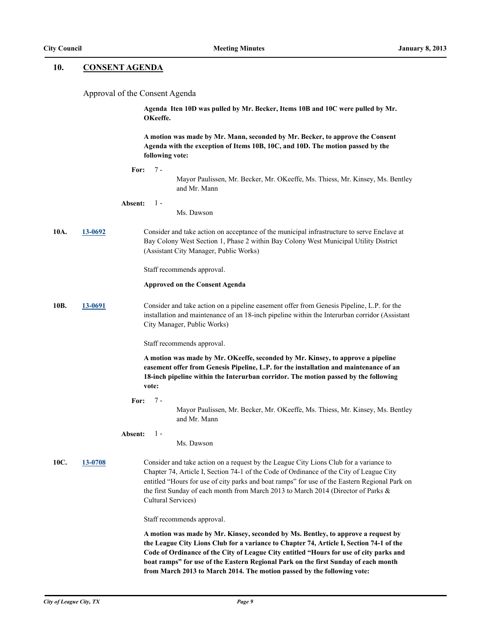### **10. CONSENT AGENDA**

Approval of the Consent Agenda

**Agenda Iten 10D was pulled by Mr. Becker, Items 10B and 10C were pulled by Mr. OKeeffe.**

**A motion was made by Mr. Mann, seconded by Mr. Becker, to approve the Consent Agenda with the exception of Items 10B, 10C, and 10D. The motion passed by the following vote:**

Mayor Paulissen, Mr. Becker, Mr. OKeeffe, Ms. Thiess, Mr. Kinsey, Ms. Bentley and Mr. Mann

#### **Absent:** 1 -

Ms. Dawson

**10A. [13-0692](http://leaguecity.legistar.com/gateway.aspx?m=l&id=3540)** Consider and take action on acceptance of the municipal infrastructure to serve Enclave at Bay Colony West Section 1, Phase 2 within Bay Colony West Municipal Utility District (Assistant City Manager, Public Works)

Staff recommends approval.

### **Approved on the Consent Agenda**

**10B. [13-0691](http://leaguecity.legistar.com/gateway.aspx?m=l&id=3539)** Consider and take action on a pipeline easement offer from Genesis Pipeline, L.P. for the installation and maintenance of an 18-inch pipeline within the Interurban corridor (Assistant City Manager, Public Works)

Staff recommends approval.

**A motion was made by Mr. OKeeffe, seconded by Mr. Kinsey, to approve a pipeline easement offer from Genesis Pipeline, L.P. for the installation and maintenance of an 18-inch pipeline within the Interurban corridor. The motion passed by the following vote:**

**For:**  $7 -$ 

> Mayor Paulissen, Mr. Becker, Mr. OKeeffe, Ms. Thiess, Mr. Kinsey, Ms. Bentley and Mr. Mann

#### **Absent:**  $1 -$

Ms. Dawson

**10C. [13-0708](http://leaguecity.legistar.com/gateway.aspx?m=l&id=3556)** Consider and take action on a request by the League City Lions Club for a variance to Chapter 74, Article I, Section 74-1 of the Code of Ordinance of the City of League City entitled "Hours for use of city parks and boat ramps" for use of the Eastern Regional Park on the first Sunday of each month from March 2013 to March 2014 (Director of Parks & Cultural Services)

Staff recommends approval.

**A motion was made by Mr. Kinsey, seconded by Ms. Bentley, to approve a request by the League City Lions Club for a variance to Chapter 74, Article I, Section 74-1 of the Code of Ordinance of the City of League City entitled "Hours for use of city parks and boat ramps" for use of the Eastern Regional Park on the first Sunday of each month from March 2013 to March 2014. The motion passed by the following vote:**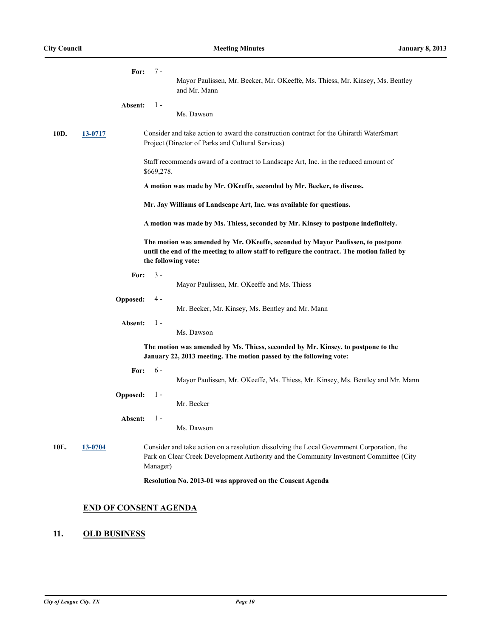|      |         | $7 -$<br>For:<br>Mayor Paulissen, Mr. Becker, Mr. OKeeffe, Ms. Thiess, Mr. Kinsey, Ms. Bentley<br>and Mr. Mann                                                                                       |
|------|---------|------------------------------------------------------------------------------------------------------------------------------------------------------------------------------------------------------|
|      |         | Absent:<br>$1 -$<br>Ms. Dawson                                                                                                                                                                       |
| 10D. | 13-0717 | Consider and take action to award the construction contract for the Ghirardi WaterSmart<br>Project (Director of Parks and Cultural Services)                                                         |
|      |         | Staff recommends award of a contract to Landscape Art, Inc. in the reduced amount of<br>\$669,278.                                                                                                   |
|      |         | A motion was made by Mr. OKeeffe, seconded by Mr. Becker, to discuss.                                                                                                                                |
|      |         | Mr. Jay Williams of Landscape Art, Inc. was available for questions.                                                                                                                                 |
|      |         | A motion was made by Ms. Thiess, seconded by Mr. Kinsey to postpone indefinitely.                                                                                                                    |
|      |         | The motion was amended by Mr. OKeeffe, seconded by Mayor Paulissen, to postpone<br>until the end of the meeting to allow staff to refigure the contract. The motion failed by<br>the following vote: |
|      |         | $3 -$<br>For:<br>Mayor Paulissen, Mr. OKeeffe and Ms. Thiess                                                                                                                                         |
|      |         | Opposed:<br>4 -<br>Mr. Becker, Mr. Kinsey, Ms. Bentley and Mr. Mann                                                                                                                                  |
|      |         | $1 -$<br>Absent:<br>Ms. Dawson                                                                                                                                                                       |
|      |         | The motion was amended by Ms. Thiess, seconded by Mr. Kinsey, to postpone to the<br>January 22, 2013 meeting. The motion passed by the following vote:                                               |
|      |         | $6 -$<br>For:<br>Mayor Paulissen, Mr. OKeeffe, Ms. Thiess, Mr. Kinsey, Ms. Bentley and Mr. Mann                                                                                                      |
|      |         | Opposed:<br>$1 -$<br>Mr. Becker                                                                                                                                                                      |
|      |         | $1 -$<br>Absent:<br>Ms. Dawson                                                                                                                                                                       |
| 10E. | 13-0704 | Consider and take action on a resolution dissolving the Local Government Corporation, the<br>Park on Clear Creek Development Authority and the Community Investment Committee (City<br>Manager)      |
|      |         | Resolution No. 2013-01 was approved on the Consent Agenda                                                                                                                                            |
|      |         | <b>END OF CONSENT AGENDA</b>                                                                                                                                                                         |

## **11. OLD BUSINESS**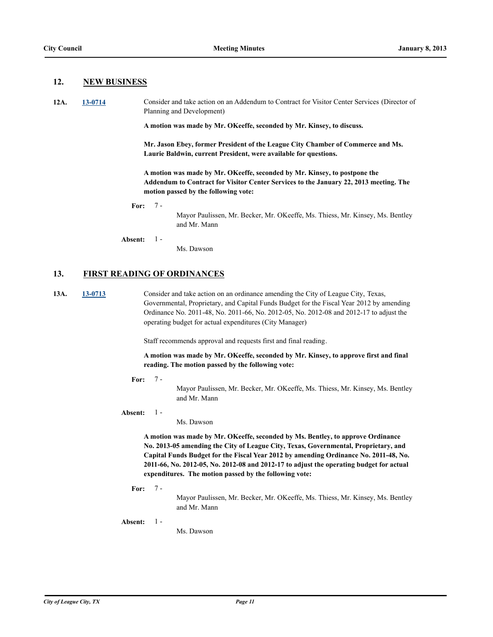### **12. NEW BUSINESS**

**12A. [13-0714](http://leaguecity.legistar.com/gateway.aspx?m=l&id=3562)** Consider and take action on an Addendum to Contract for Visitor Center Services (Director of Planning and Development)

**A motion was made by Mr. OKeeffe, seconded by Mr. Kinsey, to discuss.**

**Mr. Jason Ebey, former President of the League City Chamber of Commerce and Ms. Laurie Baldwin, current President, were available for questions.**

**A motion was made by Mr. OKeeffe, seconded by Mr. Kinsey, to postpone the Addendum to Contract for Visitor Center Services to the January 22, 2013 meeting. The motion passed by the following vote:**

#### **For:** 7 -

Mayor Paulissen, Mr. Becker, Mr. OKeeffe, Ms. Thiess, Mr. Kinsey, Ms. Bentley and Mr. Mann

**Absent:** 1 -

Ms. Dawson

### **13. FIRST READING OF ORDINANCES**

**13A. [13-0713](http://leaguecity.legistar.com/gateway.aspx?m=l&id=3561)** Consider and take action on an ordinance amending the City of League City, Texas, Governmental, Proprietary, and Capital Funds Budget for the Fiscal Year 2012 by amending Ordinance No. 2011-48, No. 2011-66, No. 2012-05, No. 2012-08 and 2012-17 to adjust the operating budget for actual expenditures (City Manager)

Staff recommends approval and requests first and final reading.

**A motion was made by Mr. OKeeffe, seconded by Mr. Kinsey, to approve first and final reading. The motion passed by the following vote:**

#### **For:**  $7<sub>-</sub>$

Mayor Paulissen, Mr. Becker, Mr. OKeeffe, Ms. Thiess, Mr. Kinsey, Ms. Bentley and Mr. Mann

**Absent:** 1 -

Ms. Dawson

**A motion was made by Mr. OKeeffe, seconded by Ms. Bentley, to approve Ordinance No. 2013-05 amending the City of League City, Texas, Governmental, Proprietary, and Capital Funds Budget for the Fiscal Year 2012 by amending Ordinance No. 2011-48, No. 2011-66, No. 2012-05, No. 2012-08 and 2012-17 to adjust the operating budget for actual expenditures. The motion passed by the following vote:**

**For:** 7 -

Mayor Paulissen, Mr. Becker, Mr. OKeeffe, Ms. Thiess, Mr. Kinsey, Ms. Bentley and Mr. Mann

**Absent:** 1 -

Ms. Dawson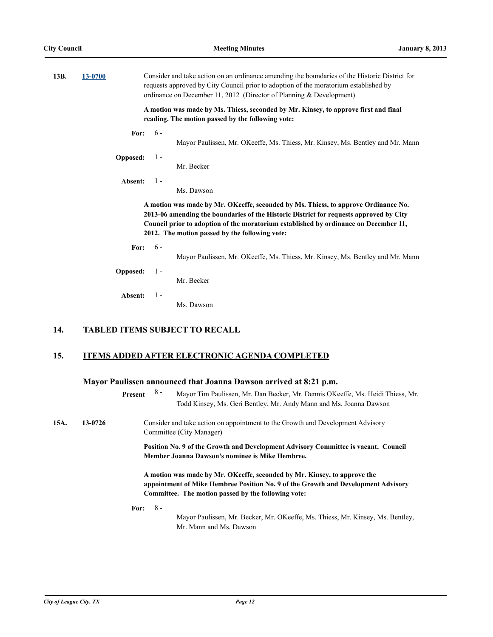| 13B. | 13-0700                                                                                         |       | Consider and take action on an ordinance amending the boundaries of the Historic District for<br>requests approved by City Council prior to adoption of the moratorium established by<br>ordinance on December 11, 2012 (Director of Planning & Development)                                                           |
|------|-------------------------------------------------------------------------------------------------|-------|------------------------------------------------------------------------------------------------------------------------------------------------------------------------------------------------------------------------------------------------------------------------------------------------------------------------|
|      |                                                                                                 |       | A motion was made by Ms. Thiess, seconded by Mr. Kinsey, to approve first and final<br>reading. The motion passed by the following vote:                                                                                                                                                                               |
|      | For:                                                                                            | $6 -$ | Mayor Paulissen, Mr. OKeeffe, Ms. Thiess, Mr. Kinsey, Ms. Bentley and Mr. Mann                                                                                                                                                                                                                                         |
|      | Opposed:                                                                                        | $1 -$ | Mr. Becker                                                                                                                                                                                                                                                                                                             |
|      | Absent:                                                                                         | $1 -$ | Ms. Dawson                                                                                                                                                                                                                                                                                                             |
|      |                                                                                                 |       | A motion was made by Mr. OKeeffe, seconded by Ms. Thiess, to approve Ordinance No.<br>2013-06 amending the boundaries of the Historic District for requests approved by City<br>Council prior to adoption of the moratorium established by ordinance on December 11,<br>2012. The motion passed by the following vote: |
|      | $6 -$<br>For:<br>Mayor Paulissen, Mr. OKeeffe, Ms. Thiess, Mr. Kinsey, Ms. Bentley and Mr. Mann |       |                                                                                                                                                                                                                                                                                                                        |
|      | Opposed:                                                                                        | $1 -$ | Mr. Becker                                                                                                                                                                                                                                                                                                             |
|      | Absent:                                                                                         | $1 -$ | Ms. Dawson                                                                                                                                                                                                                                                                                                             |
| 14.  |                                                                                                 |       | <b>TABLED ITEMS SUBJECT TO RECALL</b>                                                                                                                                                                                                                                                                                  |
| 15.  |                                                                                                 |       | <b>ITEMS ADDED AFTER ELECTRONIC AGENDA COMPLETED</b>                                                                                                                                                                                                                                                                   |
|      | Present                                                                                         | $8 -$ | Mayor Paulissen announced that Joanna Dawson arrived at 8:21 p.m.<br>Mayor Tim Paulissen, Mr. Dan Becker, Mr. Dennis OKeeffe, Ms. Heidi Thiess, Mr.<br>Todd Kinsey, Ms. Geri Bentley, Mr. Andy Mann and Ms. Joanna Dawson                                                                                              |

**15A. 13-0726** Consider and take action on appointment to the Growth and Development Advisory Committee (City Manager) **Position No. 9 of the Growth and Development Advisory Committee is vacant. Council Member Joanna Dawson's nominee is Mike Hembree. A motion was made by Mr. OKeeffe, seconded by Mr. Kinsey, to approve the appointment of Mike Hembree Position No. 9 of the Growth and Development Advisory Committee. The motion passed by the following vote:**

**For:** 8 -

Mayor Paulissen, Mr. Becker, Mr. OKeeffe, Ms. Thiess, Mr. Kinsey, Ms. Bentley, Mr. Mann and Ms. Dawson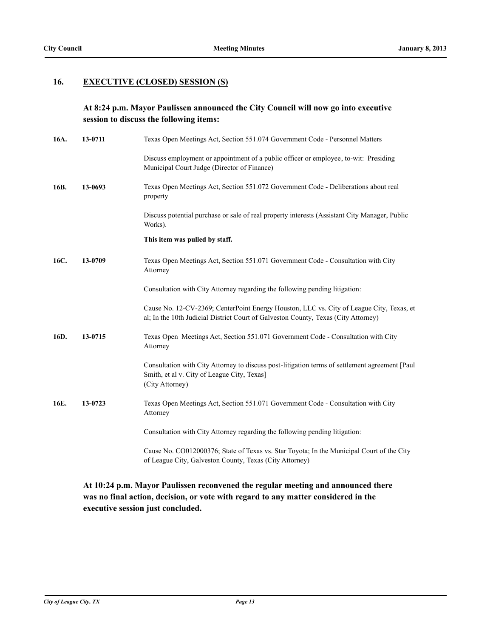### **16. EXECUTIVE (CLOSED) SESSION (S)**

### **At 8:24 p.m. Mayor Paulissen announced the City Council will now go into executive session to discuss the following items:**

| 16A. | 13-0711 | Texas Open Meetings Act, Section 551.074 Government Code - Personnel Matters                                                                                                   |
|------|---------|--------------------------------------------------------------------------------------------------------------------------------------------------------------------------------|
|      |         | Discuss employment or appointment of a public officer or employee, to-wit: Presiding<br>Municipal Court Judge (Director of Finance)                                            |
| 16B. | 13-0693 | Texas Open Meetings Act, Section 551.072 Government Code - Deliberations about real<br>property                                                                                |
|      |         | Discuss potential purchase or sale of real property interests (Assistant City Manager, Public<br>Works).                                                                       |
|      |         | This item was pulled by staff.                                                                                                                                                 |
| 16C. | 13-0709 | Texas Open Meetings Act, Section 551.071 Government Code - Consultation with City<br>Attorney                                                                                  |
|      |         | Consultation with City Attorney regarding the following pending litigation:                                                                                                    |
|      |         | Cause No. 12-CV-2369; CenterPoint Energy Houston, LLC vs. City of League City, Texas, et<br>al; In the 10th Judicial District Court of Galveston County, Texas (City Attorney) |
| 16D. | 13-0715 | Texas Open Meetings Act, Section 551.071 Government Code - Consultation with City<br>Attorney                                                                                  |
|      |         | Consultation with City Attorney to discuss post-litigation terms of settlement agreement [Paul<br>Smith, et al v. City of League City, Texas]<br>(City Attorney)               |
| 16E. | 13-0723 | Texas Open Meetings Act, Section 551.071 Government Code - Consultation with City<br>Attorney                                                                                  |
|      |         | Consultation with City Attorney regarding the following pending litigation:                                                                                                    |
|      |         | Cause No. CO012000376; State of Texas vs. Star Toyota; In the Municipal Court of the City<br>of League City, Galveston County, Texas (City Attorney)                           |

### **At 10:24 p.m. Mayor Paulissen reconvened the regular meeting and announced there was no final action, decision, or vote with regard to any matter considered in the executive session just concluded.**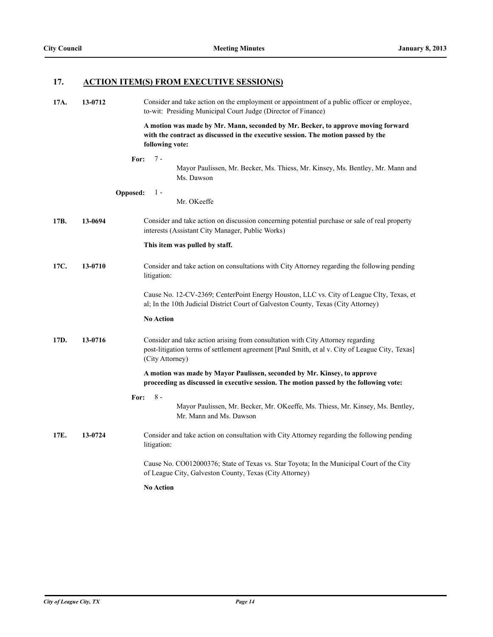# **17. ACTION ITEM(S) FROM EXECUTIVE SESSION(S)**

| 17A. | 13-0712 | Consider and take action on the employment or appointment of a public officer or employee,<br>to-wit: Presiding Municipal Court Judge (Director of Finance)                                           |
|------|---------|-------------------------------------------------------------------------------------------------------------------------------------------------------------------------------------------------------|
|      |         | A motion was made by Mr. Mann, seconded by Mr. Becker, to approve moving forward<br>with the contract as discussed in the executive session. The motion passed by the<br>following vote:              |
|      |         | $7 -$<br>For:<br>Mayor Paulissen, Mr. Becker, Ms. Thiess, Mr. Kinsey, Ms. Bentley, Mr. Mann and<br>Ms. Dawson                                                                                         |
|      |         | <b>Opposed:</b><br>$1 -$<br>Mr. OKeeffe                                                                                                                                                               |
| 17B. | 13-0694 | Consider and take action on discussion concerning potential purchase or sale of real property<br>interests (Assistant City Manager, Public Works)                                                     |
|      |         | This item was pulled by staff.                                                                                                                                                                        |
| 17C. | 13-0710 | Consider and take action on consultations with City Attorney regarding the following pending<br>litigation:                                                                                           |
|      |         | Cause No. 12-CV-2369; CenterPoint Energy Houston, LLC vs. City of League CIty, Texas, et<br>al; In the 10th Judicial District Court of Galveston County, Texas (City Attorney)                        |
|      |         | <b>No Action</b>                                                                                                                                                                                      |
| 17D. | 13-0716 | Consider and take action arising from consultation with City Attorney regarding<br>post-litigation terms of settlement agreement [Paul Smith, et al v. City of League City, Texas]<br>(City Attorney) |
|      |         | A motion was made by Mayor Paulissen, seconded by Mr. Kinsey, to approve<br>proceeding as discussed in executive session. The motion passed by the following vote:                                    |
|      |         | $8 -$<br>For:<br>Mayor Paulissen, Mr. Becker, Mr. OKeeffe, Ms. Thiess, Mr. Kinsey, Ms. Bentley,<br>Mr. Mann and Ms. Dawson                                                                            |
| 17E. | 13-0724 | Consider and take action on consultation with City Attorney regarding the following pending<br>litigation:                                                                                            |
|      |         | Cause No. CO012000376; State of Texas vs. Star Toyota; In the Municipal Court of the City<br>of League City, Galveston County, Texas (City Attorney)                                                  |
|      |         | <b>No Action</b>                                                                                                                                                                                      |